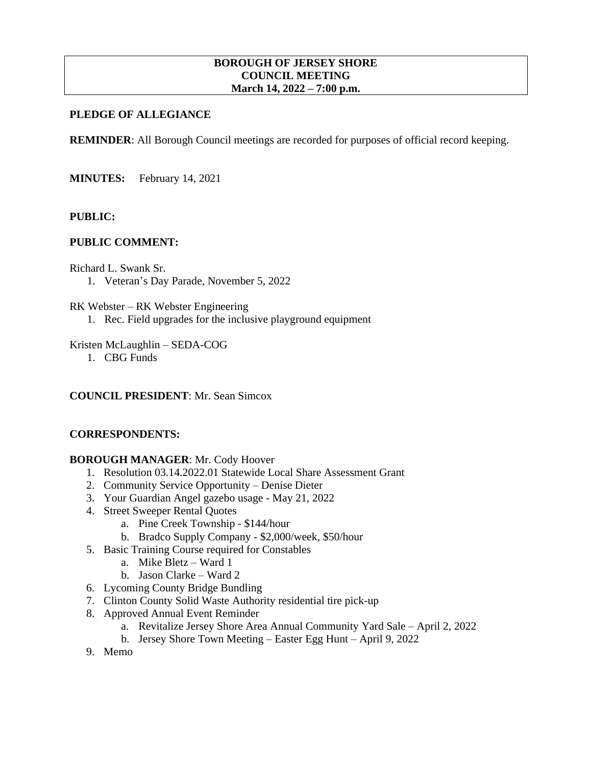## **BOROUGH OF JERSEY SHORE COUNCIL MEETING March 14, 2022 – 7:00 p.m.**

# **PLEDGE OF ALLEGIANCE**

**REMINDER:** All Borough Council meetings are recorded for purposes of official record keeping.

**MINUTES:** February 14, 2021

## **PUBLIC:**

## **PUBLIC COMMENT:**

Richard L. Swank Sr.

1. Veteran's Day Parade, November 5, 2022

RK Webster – RK Webster Engineering

1. Rec. Field upgrades for the inclusive playground equipment

Kristen McLaughlin – SEDA-COG

1. CBG Funds

#### **COUNCIL PRESIDENT**: Mr. Sean Simcox

#### **CORRESPONDENTS:**

## **BOROUGH MANAGER**: Mr. Cody Hoover

- 1. Resolution 03.14.2022.01 Statewide Local Share Assessment Grant
- 2. Community Service Opportunity Denise Dieter
- 3. Your Guardian Angel gazebo usage May 21, 2022
- 4. Street Sweeper Rental Quotes
	- a. Pine Creek Township \$144/hour
	- b. Bradco Supply Company \$2,000/week, \$50/hour
- 5. Basic Training Course required for Constables
	- a. Mike Bletz Ward 1
	- b. Jason Clarke Ward 2
- 6. Lycoming County Bridge Bundling
- 7. Clinton County Solid Waste Authority residential tire pick-up
- 8. Approved Annual Event Reminder
	- a. Revitalize Jersey Shore Area Annual Community Yard Sale April 2, 2022
	- b. Jersey Shore Town Meeting Easter Egg Hunt April 9, 2022
- 9. Memo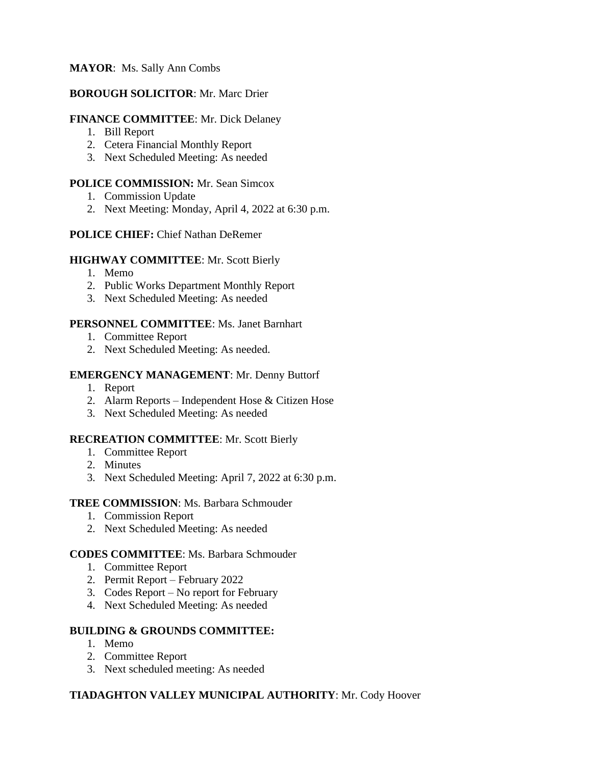# **MAYOR**: Ms. Sally Ann Combs

## **BOROUGH SOLICITOR**: Mr. Marc Drier

## **FINANCE COMMITTEE**: Mr. Dick Delaney

- 1. Bill Report
- 2. Cetera Financial Monthly Report
- 3. Next Scheduled Meeting: As needed

# **POLICE COMMISSION:** Mr. Sean Simcox

- 1. Commission Update
- 2. Next Meeting: Monday, April 4, 2022 at 6:30 p.m.

## **POLICE CHIEF:** Chief Nathan DeRemer

#### **HIGHWAY COMMITTEE**: Mr. Scott Bierly

- 1. Memo
- 2. Public Works Department Monthly Report
- 3. Next Scheduled Meeting: As needed

## **PERSONNEL COMMITTEE**: Ms. Janet Barnhart

- 1. Committee Report
- 2. Next Scheduled Meeting: As needed.

## **EMERGENCY MANAGEMENT**: Mr. Denny Buttorf

- 1. Report
- 2. Alarm Reports Independent Hose & Citizen Hose
- 3. Next Scheduled Meeting: As needed

#### **RECREATION COMMITTEE**: Mr. Scott Bierly

- 1. Committee Report
- 2. Minutes
- 3. Next Scheduled Meeting: April 7, 2022 at 6:30 p.m.

#### **TREE COMMISSION**: Ms. Barbara Schmouder

- 1. Commission Report
- 2. Next Scheduled Meeting: As needed

#### **CODES COMMITTEE**: Ms. Barbara Schmouder

- 1. Committee Report
- 2. Permit Report February 2022
- 3. Codes Report No report for February
- 4. Next Scheduled Meeting: As needed

#### **BUILDING & GROUNDS COMMITTEE:**

- 1. Memo
- 2. Committee Report
- 3. Next scheduled meeting: As needed

# **TIADAGHTON VALLEY MUNICIPAL AUTHORITY**: Mr. Cody Hoover